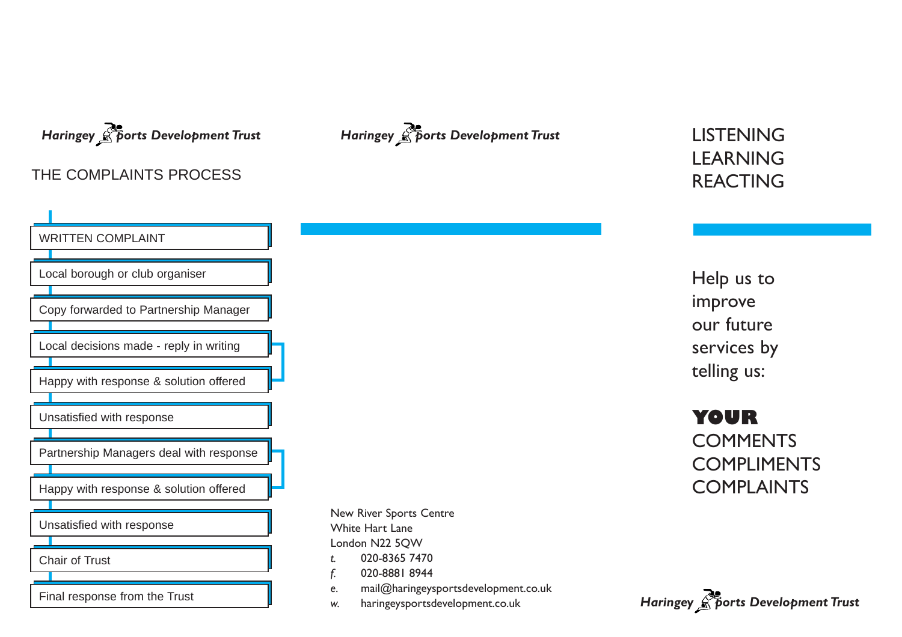## THE COMPLAINTS PROCESS





# **LEARNING** REACTING

Help us to improve our future services by telling us:

**YOUR COMMENTS** COMPLIMENTS **COMPLAINTS** 

New River Sports Centre White Hart Lane London N22 5QW *t.* 020-8365 7470

- *f.* 020-8881 8944
- *e.* mail@haringeysportsdevelopment.co.uk
- *w.* haringeysportsdevelopment.co.uk